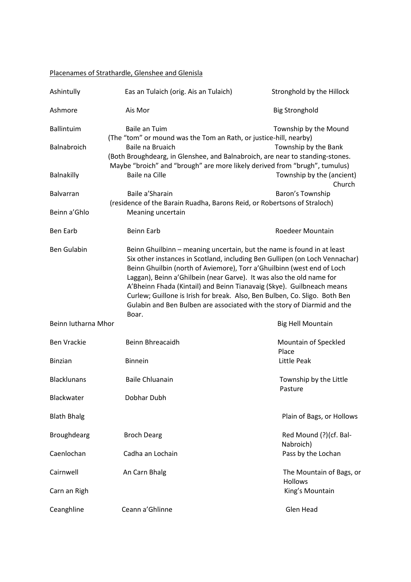## Placenames of Strathardle, Glenshee and Glenisla

| Ashintully                        | Eas an Tulaich (orig. Ais an Tulaich)                                                                                                                                                   | Stronghold by the Hillock                                                                                                                                                                                                                                                                                                                                                                |
|-----------------------------------|-----------------------------------------------------------------------------------------------------------------------------------------------------------------------------------------|------------------------------------------------------------------------------------------------------------------------------------------------------------------------------------------------------------------------------------------------------------------------------------------------------------------------------------------------------------------------------------------|
| Ashmore                           | Ais Mor                                                                                                                                                                                 | <b>Big Stronghold</b>                                                                                                                                                                                                                                                                                                                                                                    |
| <b>Ballintuim</b><br>Balnabroich  | Baile an Tuim<br>(The "tom" or mound was the Tom an Rath, or justice-hill, nearby)<br>Baile na Bruaich<br>(Both Broughdearg, in Glenshee, and Balnabroich, are near to standing-stones. | Township by the Mound<br>Township by the Bank                                                                                                                                                                                                                                                                                                                                            |
| Balnakilly                        | Maybe "broich" and "brough" are more likely derived from "brugh", tumulus)<br>Baile na Cille                                                                                            | Township by the (ancient)<br>Church                                                                                                                                                                                                                                                                                                                                                      |
| <b>Balvarran</b><br>Beinn a' Ghlo | Baile a'Sharain<br>(residence of the Barain Ruadha, Barons Reid, or Robertsons of Straloch)<br>Meaning uncertain                                                                        | Baron's Township                                                                                                                                                                                                                                                                                                                                                                         |
| <b>Ben Earb</b>                   | <b>Beinn Earb</b>                                                                                                                                                                       | Roedeer Mountain                                                                                                                                                                                                                                                                                                                                                                         |
| <b>Ben Gulabin</b>                | Beinn Ghuilbinn - meaning uncertain, but the name is found in at least<br>Laggan), Beinn a' Ghilbein (near Garve). It was also the old name for<br>Boar.                                | Six other instances in Scotland, including Ben Gullipen (on Loch Vennachar)<br>Beinn Ghuilbin (north of Aviemore), Torr a' Ghuilbinn (west end of Loch<br>A'Bheinn Fhada (Kintail) and Beinn Tianavaig (Skye). Guilbneach means<br>Curlew; Guillone is Irish for break. Also, Ben Bulben, Co. Sligo. Both Ben<br>Gulabin and Ben Bulben are associated with the story of Diarmid and the |
| Beinn Iutharna Mhor               |                                                                                                                                                                                         | <b>Big Hell Mountain</b>                                                                                                                                                                                                                                                                                                                                                                 |
| <b>Ben Vrackie</b>                | Beinn Bhreacaidh                                                                                                                                                                        | Mountain of Speckled<br>Place                                                                                                                                                                                                                                                                                                                                                            |
| <b>Binzian</b>                    | <b>Binnein</b>                                                                                                                                                                          | Little Peak                                                                                                                                                                                                                                                                                                                                                                              |
| <b>Blacklunans</b>                | <b>Baile Chluanain</b>                                                                                                                                                                  | Township by the Little<br>Pasture                                                                                                                                                                                                                                                                                                                                                        |
| Blackwater                        | Dobhar Dubh                                                                                                                                                                             |                                                                                                                                                                                                                                                                                                                                                                                          |
| <b>Blath Bhalg</b>                |                                                                                                                                                                                         | Plain of Bags, or Hollows                                                                                                                                                                                                                                                                                                                                                                |
| Broughdearg                       | <b>Broch Dearg</b>                                                                                                                                                                      | Red Mound (?)(cf. Bal-<br>Nabroich)                                                                                                                                                                                                                                                                                                                                                      |
| Caenlochan                        | Cadha an Lochain                                                                                                                                                                        | Pass by the Lochan                                                                                                                                                                                                                                                                                                                                                                       |
| Cairnwell                         | An Carn Bhalg                                                                                                                                                                           | The Mountain of Bags, or<br><b>Hollows</b>                                                                                                                                                                                                                                                                                                                                               |
| Carn an Righ                      |                                                                                                                                                                                         | King's Mountain                                                                                                                                                                                                                                                                                                                                                                          |
| Ceanghline                        | Ceann a' Ghlinne                                                                                                                                                                        | Glen Head                                                                                                                                                                                                                                                                                                                                                                                |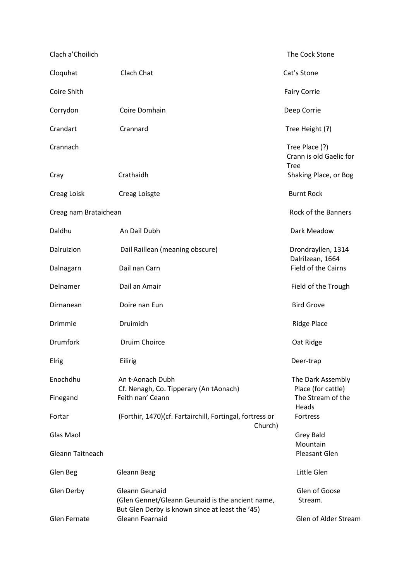| Clach a' Choilich     |                                                                                                                       | The Cock Stone                            |
|-----------------------|-----------------------------------------------------------------------------------------------------------------------|-------------------------------------------|
| Cloquhat              | Clach Chat                                                                                                            | Cat's Stone                               |
| Coire Shith           |                                                                                                                       | <b>Fairy Corrie</b>                       |
| Corrydon              | Coire Domhain                                                                                                         | Deep Corrie                               |
| Crandart              | Crannard                                                                                                              | Tree Height (?)                           |
| Crannach              |                                                                                                                       | Tree Place (?)<br>Crann is old Gaelic for |
| Cray                  | Crathaidh                                                                                                             | <b>Tree</b><br>Shaking Place, or Bog      |
| Creag Loisk           | Creag Loisgte                                                                                                         | <b>Burnt Rock</b>                         |
| Creag nam Brataichean |                                                                                                                       | <b>Rock of the Banners</b>                |
| Daldhu                | An Dail Dubh                                                                                                          | Dark Meadow                               |
| Dalruizion            | Dail Raillean (meaning obscure)                                                                                       | Drondrayllen, 1314                        |
| Dalnagarn             | Dail nan Carn                                                                                                         | Dalrilzean, 1664<br>Field of the Cairns   |
| Delnamer              | Dail an Amair                                                                                                         | Field of the Trough                       |
| Dirnanean             | Doire nan Eun                                                                                                         | <b>Bird Grove</b>                         |
| Drimmie               | Druimidh                                                                                                              | <b>Ridge Place</b>                        |
| <b>Drumfork</b>       | <b>Druim Choirce</b>                                                                                                  | Oat Ridge                                 |
| <b>Elrig</b>          | Eilirig                                                                                                               | Deer-trap                                 |
| Enochdhu              | An t-Aonach Dubh                                                                                                      | The Dark Assembly                         |
| Finegand              | Cf. Nenagh, Co. Tipperary (An tAonach)<br>Feith nan' Ceann                                                            | Place (for cattle)<br>The Stream of the   |
| Fortar                | (Forthir, 1470)(cf. Fartairchill, Fortingal, fortress or                                                              | Heads<br>Fortress                         |
| Glas Maol             | Church)                                                                                                               | Grey Bald                                 |
| Gleann Taitneach      |                                                                                                                       | Mountain<br>Pleasant Glen                 |
| Glen Beg              | Gleann Beag                                                                                                           | Little Glen                               |
| Glen Derby            | Gleann Geunaid<br>(Glen Gennet/Gleann Geunaid is the ancient name,<br>But Glen Derby is known since at least the '45) | Glen of Goose<br>Stream.                  |
| <b>Glen Fernate</b>   | Gleann Fearnaid                                                                                                       | Glen of Alder Stream                      |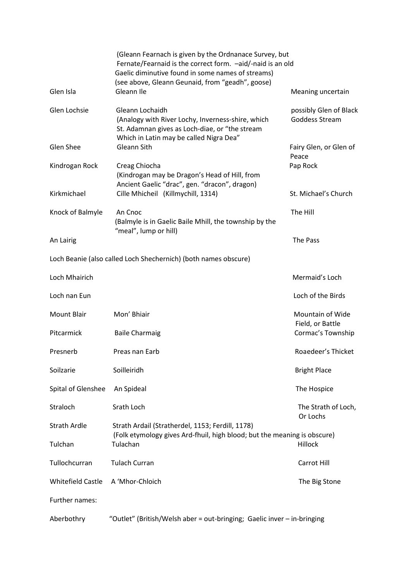|                          | (Gleann Fearnach is given by the Ordnanace Survey, but<br>Fernate/Fearnaid is the correct form. - aid/-naid is an old<br>Gaelic diminutive found in some names of streams)<br>(see above, Gleann Geunaid, from "geadh", goose) |                                          |
|--------------------------|--------------------------------------------------------------------------------------------------------------------------------------------------------------------------------------------------------------------------------|------------------------------------------|
| Glen Isla                | Gleann Ile                                                                                                                                                                                                                     | Meaning uncertain                        |
| Glen Lochsie             | Gleann Lochaidh<br>(Analogy with River Lochy, Inverness-shire, which<br>St. Adamnan gives as Loch-diae, or "the stream<br>Which in Latin may be called Nigra Dea"                                                              | possibly Glen of Black<br>Goddess Stream |
| Glen Shee                | Gleann Sith                                                                                                                                                                                                                    | Fairy Glen, or Glen of<br>Peace          |
| Kindrogan Rock           | Creag Chiocha<br>(Kindrogan may be Dragon's Head of Hill, from<br>Ancient Gaelic "drac", gen. "dracon", dragon)                                                                                                                | Pap Rock                                 |
| Kirkmichael              | Cille Mhicheil (Killmychill, 1314)                                                                                                                                                                                             | St. Michael's Church                     |
| Knock of Balmyle         | An Cnoc<br>(Balmyle is in Gaelic Baile Mhill, the township by the<br>"meal", lump or hill)                                                                                                                                     | The Hill                                 |
| An Lairig                |                                                                                                                                                                                                                                | The Pass                                 |
|                          | Loch Beanie (also called Loch Shechernich) (both names obscure)                                                                                                                                                                |                                          |
| Loch Mhairich            |                                                                                                                                                                                                                                | Mermaid's Loch                           |
| Loch nan Eun             |                                                                                                                                                                                                                                | Loch of the Birds                        |
| <b>Mount Blair</b>       | Mon' Bhiair                                                                                                                                                                                                                    | Mountain of Wide<br>Field, or Battle     |
| Pitcarmick               | <b>Baile Charmaig</b>                                                                                                                                                                                                          | Cormac's Township                        |
| Presnerb                 | Preas nan Earb                                                                                                                                                                                                                 | Roaedeer's Thicket                       |
| Soilzarie                | Soilleiridh                                                                                                                                                                                                                    | <b>Bright Place</b>                      |
| Spital of Glenshee       | An Spideal                                                                                                                                                                                                                     | The Hospice                              |
| Straloch                 | Srath Loch                                                                                                                                                                                                                     | The Strath of Loch,<br>Or Lochs          |
| <b>Strath Ardle</b>      | Strath Ardail (Stratherdel, 1153; Ferdill, 1178)<br>(Folk etymology gives Ard-fhuil, high blood; but the meaning is obscure)                                                                                                   |                                          |
| Tulchan                  | Tulachan                                                                                                                                                                                                                       | Hillock                                  |
| Tullochcurran            | <b>Tulach Curran</b>                                                                                                                                                                                                           | Carrot Hill                              |
| <b>Whitefield Castle</b> | A 'Mhor-Chloich                                                                                                                                                                                                                | The Big Stone                            |
| Further names:           |                                                                                                                                                                                                                                |                                          |
| Aberbothry               | "Outlet" (British/Welsh aber = out-bringing; Gaelic inver - in-bringing                                                                                                                                                        |                                          |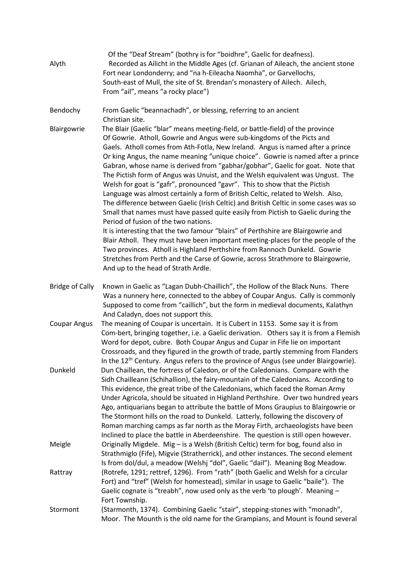| Alyth                  | Of the "Deaf Stream" (bothry is for "boidhre", Gaelic for deafness).<br>Recorded as Ailicht in the Middle Ages (cf. Grianan of Aileach, the ancient stone<br>Fort near Londonderry; and "na h-Eileacha Naomha", or Garvellochs,<br>South-east of Mull, the site of St. Brendan's monastery of Ailech. Ailech,<br>From "ail", means "a rocky place")                                                                                                                                                                                                                                                                                                                                                                                                                                                                                                                                                                                                                                                                                                                                                                                                                                                                                                                   |
|------------------------|-----------------------------------------------------------------------------------------------------------------------------------------------------------------------------------------------------------------------------------------------------------------------------------------------------------------------------------------------------------------------------------------------------------------------------------------------------------------------------------------------------------------------------------------------------------------------------------------------------------------------------------------------------------------------------------------------------------------------------------------------------------------------------------------------------------------------------------------------------------------------------------------------------------------------------------------------------------------------------------------------------------------------------------------------------------------------------------------------------------------------------------------------------------------------------------------------------------------------------------------------------------------------|
| Bendochy               | From Gaelic "beannachadh", or blessing, referring to an ancient<br>Christian site.                                                                                                                                                                                                                                                                                                                                                                                                                                                                                                                                                                                                                                                                                                                                                                                                                                                                                                                                                                                                                                                                                                                                                                                    |
| Blairgowrie            | The Blair (Gaelic "blar" means meeting-field, or battle-field) of the province<br>Of Gowrie. Atholl, Gowrie and Angus were sub-kingdoms of the Picts and<br>Gaels. Atholl comes from Ath-Fotla, New Ireland. Angus is named after a prince<br>Or king Angus, the name meaning "unique choice". Gowrie is named after a prince<br>Gabran, whose name is derived from "gabhar/gobhar", Gaelic for goat. Note that<br>The Pictish form of Angus was Unuist, and the Welsh equivalent was Ungust. The<br>Welsh for goat is "gafr", pronounced "gavr". This to show that the Pictish<br>Language was almost certainly a form of British Celtic, related to Welsh. Also,<br>The difference between Gaelic (Irish Celtic) and British Celtic in some cases was so<br>Small that names must have passed quite easily from Pictish to Gaelic during the<br>Period of fusion of the two nations.<br>It is interesting that the two famour "blairs" of Perthshire are Blairgowrie and<br>Blair Atholl. They must have been important meeting-places for the people of the<br>Two provinces. Atholl is Highland Perthshire from Rannoch Dunkeld. Gowrie<br>Stretches from Perth and the Carse of Gowrie, across Strathmore to Blairgowrie,<br>And up to the head of Strath Ardle. |
| <b>Bridge of Cally</b> | Known in Gaelic as "Lagan Dubh-Chaillich", the Hollow of the Black Nuns. There<br>Was a nunnery here, connected to the abbey of Coupar Angus. Cally is commonly<br>Supposed to come from "caillich", but the form in medieval documents, Kalathyn<br>And Caladyn, does not support this.                                                                                                                                                                                                                                                                                                                                                                                                                                                                                                                                                                                                                                                                                                                                                                                                                                                                                                                                                                              |
| <b>Coupar Angus</b>    | The meaning of Coupar is uncertain. It is Cubert in 1153. Some say it is from<br>Com-bert, bringing together, i.e. a Gaelic derivation. Others say it is from a Flemish<br>Word for depot, cubre. Both Coupar Angus and Cupar in Fife lie on important<br>Crossroads, and they figured in the growth of trade, partly stemming from Flanders<br>In the 12 <sup>th</sup> Century. Angus refers to the province of Angus (see under Blairgowrie).                                                                                                                                                                                                                                                                                                                                                                                                                                                                                                                                                                                                                                                                                                                                                                                                                       |
| Dunkeld                | Dun Chaillean, the fortress of Caledon, or of the Caledonians. Compare with the<br>Sidh Chailleann (Schihallion), the fairy-mountain of the Caledonians. According to<br>This evidence, the great tribe of the Caledonians, which faced the Roman Army<br>Under Agricola, should be situated in Highland Perthshire. Over two hundred years<br>Ago, antiquarians began to attribute the battle of Mons Graupius to Blairgowrie or<br>The Stormont hills on the road to Dunkeld. Latterly, following the discovery of<br>Roman marching camps as far north as the Moray Firth, archaeologists have been<br>Inclined to place the battle in Aberdeenshire. The question is still open however.                                                                                                                                                                                                                                                                                                                                                                                                                                                                                                                                                                          |
| Meigle                 | Originally Migdele. Mig - is a Welsh (British Celtic) term for bog, found also in<br>Strathmiglo (Fife), Migvie (Stratherrick), and other instances. The second element<br>Is from dol/dul, a meadow (Welshj "dol", Gaelic "dail"). Meaning Bog Meadow.                                                                                                                                                                                                                                                                                                                                                                                                                                                                                                                                                                                                                                                                                                                                                                                                                                                                                                                                                                                                               |
| Rattray                | (Rotrefe, 1291; rettref, 1296). From "rath" (both Gaelic and Welsh for a circular<br>Fort) and "tref" (Welsh for homestead), similar in usage to Gaelic "baile"). The<br>Gaelic cognate is "treabh", now used only as the verb 'to plough'. Meaning -<br>Fort Township.                                                                                                                                                                                                                                                                                                                                                                                                                                                                                                                                                                                                                                                                                                                                                                                                                                                                                                                                                                                               |
| Stormont               | (Starmonth, 1374). Combining Gaelic "stair", stepping-stones with "monadh",<br>Moor. The Mounth is the old name for the Grampians, and Mount is found several                                                                                                                                                                                                                                                                                                                                                                                                                                                                                                                                                                                                                                                                                                                                                                                                                                                                                                                                                                                                                                                                                                         |